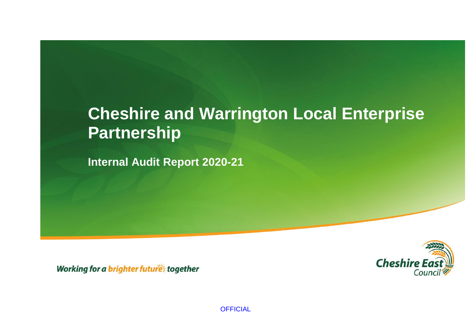# **Cheshire and Warrington Local Enterprise Partnership**

**Internal Audit Report 2020-21**



Working for a brighter future together

**OFFICIAL**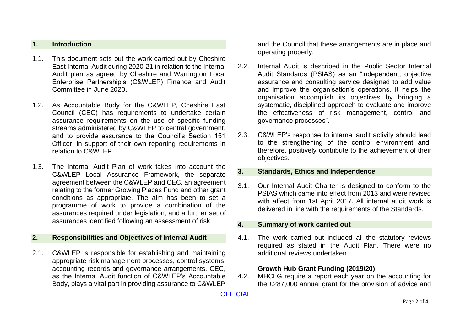#### **1. Introduction**

- 1.1. This document sets out the work carried out by Cheshire East Internal Audit during 2020-21 in relation to the Internal Audit plan as agreed by Cheshire and Warrington Local Enterprise Partnership's (C&WLEP) Finance and Audit Committee in June 2020.
- 1.2. As Accountable Body for the C&WLEP, Cheshire East Council (CEC) has requirements to undertake certain assurance requirements on the use of specific funding streams administered by C&WLEP to central government, and to provide assurance to the Council's Section 151 Officer, in support of their own reporting requirements in relation to C&WLEP.
- 1.3. The Internal Audit Plan of work takes into account the C&WLEP Local Assurance Framework, the separate agreement between the C&WLEP and CEC, an agreement relating to the former Growing Places Fund and other grant conditions as appropriate. The aim has been to set a programme of work to provide a combination of the assurances required under legislation, and a further set of assurances identified following an assessment of risk.

#### **2. Responsibilities and Objectives of Internal Audit**

2.1. C&WLEP is responsible for establishing and maintaining appropriate risk management processes, control systems, accounting records and governance arrangements. CEC, as the Internal Audit function of C&WLEP's Accountable Body, plays a vital part in providing assurance to C&WLEP and the Council that these arrangements are in place and operating properly.

- 2.2. Internal Audit is described in the Public Sector Internal Audit Standards (PSIAS) as an "independent, objective assurance and consulting service designed to add value and improve the organisation's operations. It helps the organisation accomplish its objectives by bringing a systematic, disciplined approach to evaluate and improve the effectiveness of risk management, control and governance processes".
- 2.3. C&WLEP's response to internal audit activity should lead to the strengthening of the control environment and, therefore, positively contribute to the achievement of their objectives.

#### **3. Standards, Ethics and Independence**

3.1. Our Internal Audit Charter is designed to conform to the PSIAS which came into effect from 2013 and were revised with affect from 1st April 2017. All internal audit work is delivered in line with the requirements of the Standards.

#### **4. Summary of work carried out**

4.1. The work carried out included all the statutory reviews required as stated in the Audit Plan. There were no additional reviews undertaken.

#### **Growth Hub Grant Funding (2019/20)**

4.2. MHCLG require a report each year on the accounting for the £287,000 annual grant for the provision of advice and

#### **OFFICIAL**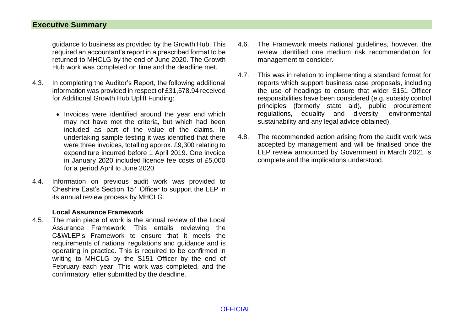### **Executive Summary**

guidance to business as provided by the Growth Hub. This required an accountant's report in a prescribed format to be returned to MHCLG by the end of June 2020. The Growth Hub work was completed on time and the deadline met.

- 4.3. In completing the Auditor's Report, the following additional information was provided in respect of £31,578.94 received for Additional Growth Hub Uplift Funding:
	- Invoices were identified around the year end which may not have met the criteria, but which had been included as part of the value of the claims. In undertaking sample testing it was identified that there were three invoices, totalling approx. £9,300 relating to expenditure incurred before 1 April 2019. One invoice in January 2020 included licence fee costs of £5,000 for a period April to June 2020
- 4.4. Information on previous audit work was provided to Cheshire East's Section 151 Officer to support the LEP in its annual review process by MHCLG.

#### **Local Assurance Framework**

4.5. The main piece of work is the annual review of the Local Assurance Framework. This entails reviewing the C&WLEP's Framework to ensure that it meets the requirements of national regulations and guidance and is operating in practice. This is required to be confirmed in writing to MHCLG by the S151 Officer by the end of February each year. This work was completed, and the confirmatory letter submitted by the deadline.

- 4.6. The Framework meets national guidelines, however, the review identified one medium risk recommendation for management to consider.
- 4.7. This was in relation to implementing a standard format for reports which support business case proposals, including the use of headings to ensure that wider S151 Officer responsibilities have been considered (e.g. subsidy control principles (formerly state aid), public procurement regulations, equality and diversity, environmental sustainability and any legal advice obtained).
- 4.8. The recommended action arising from the audit work was accepted by management and will be finalised once the LEP review announced by Government in March 2021 is complete and the implications understood.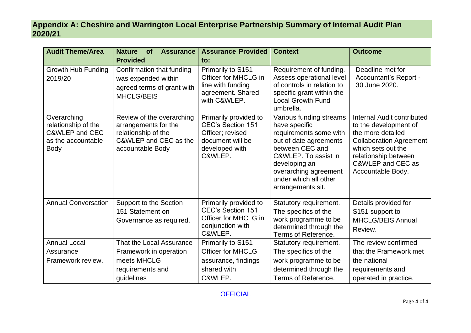## **Appendix A: Cheshire and Warrington Local Enterprise Partnership Summary of Internal Audit Plan 2020/21**

| <b>Audit Theme/Area</b>                                                                              | <b>Nature</b><br><b>of</b><br><b>Assurance</b>                                                                        | <b>Assurance Provided</b>                                                                                              | <b>Context</b>                                                                                                                                                                                                                  | <b>Outcome</b>                                                                                                                                                                                     |
|------------------------------------------------------------------------------------------------------|-----------------------------------------------------------------------------------------------------------------------|------------------------------------------------------------------------------------------------------------------------|---------------------------------------------------------------------------------------------------------------------------------------------------------------------------------------------------------------------------------|----------------------------------------------------------------------------------------------------------------------------------------------------------------------------------------------------|
|                                                                                                      | <b>Provided</b>                                                                                                       | to:                                                                                                                    |                                                                                                                                                                                                                                 |                                                                                                                                                                                                    |
| Growth Hub Funding<br>2019/20                                                                        | Confirmation that funding<br>was expended within<br>agreed terms of grant with<br><b>MHCLG/BEIS</b>                   | Primarily to S151<br>Officer for MHCLG in<br>line with funding<br>agreement. Shared<br>with C&WLEP.                    | Requirement of funding.<br>Assess operational level<br>of controls in relation to<br>specific grant within the<br><b>Local Growth Fund</b><br>umbrella.                                                                         | Deadline met for<br>Accountant's Report -<br>30 June 2020.                                                                                                                                         |
| Overarching<br>relationship of the<br><b>C&amp;WLEP and CEC</b><br>as the accountable<br><b>Body</b> | Review of the overarching<br>arrangements for the<br>relationship of the<br>C&WLEP and CEC as the<br>accountable Body | Primarily provided to<br><b>CEC's Section 151</b><br>Officer; revised<br>document will be<br>developed with<br>C&WLEP. | Various funding streams<br>have specific<br>requirements some with<br>out of date agreements<br>between CEC and<br>C&WLEP. To assist in<br>developing an<br>overarching agreement<br>under which all other<br>arrangements sit. | Internal Audit contributed<br>to the development of<br>the more detailed<br><b>Collaboration Agreement</b><br>which sets out the<br>relationship between<br>C&WLEP and CEC as<br>Accountable Body. |
| <b>Annual Conversation</b>                                                                           | Support to the Section<br>151 Statement on<br>Governance as required.                                                 | Primarily provided to<br><b>CEC's Section 151</b><br>Officer for MHCLG in<br>conjunction with<br>C&WLEP.               | Statutory requirement.<br>The specifics of the<br>work programme to be<br>determined through the<br>Terms of Reference.                                                                                                         | Details provided for<br>S151 support to<br><b>MHCLG/BEIS Annual</b><br>Review.                                                                                                                     |
| <b>Annual Local</b>                                                                                  | That the Local Assurance                                                                                              | Primarily to S151                                                                                                      | Statutory requirement.                                                                                                                                                                                                          | The review confirmed                                                                                                                                                                               |
| Assurance                                                                                            | Framework in operation                                                                                                | <b>Officer for MHCLG</b>                                                                                               | The specifics of the                                                                                                                                                                                                            | that the Framework met                                                                                                                                                                             |
| Framework review.                                                                                    | meets MHCLG                                                                                                           | assurance, findings                                                                                                    | work programme to be                                                                                                                                                                                                            | the national                                                                                                                                                                                       |
|                                                                                                      | requirements and                                                                                                      | shared with                                                                                                            | determined through the                                                                                                                                                                                                          | requirements and                                                                                                                                                                                   |
|                                                                                                      | quidelines                                                                                                            | C&WLEP.                                                                                                                | Terms of Reference.                                                                                                                                                                                                             | operated in practice.                                                                                                                                                                              |